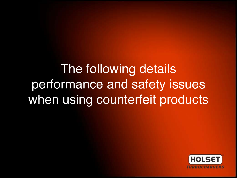The following details performance and safety issues when using counterfeit products

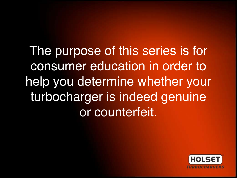The purpose of this series is for consumer education in order to help you determine whether your turbocharger is indeed genuine or counterfeit.

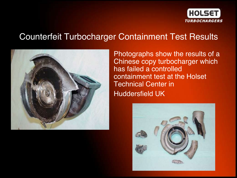

## Counterfeit Turbocharger Containment Test Results



Photographs show the results of a Chinese copy turbocharger which has failed a controlled containment test at the Holset Technical Center in Huddersfield UK

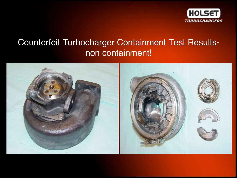

# Counterfeit Turbocharger Containment Test Resultsnon containment!

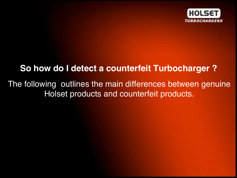

### **So how do I detect a counterfeit Turbocharger ?**

The following outlines the main differences between genuine Holset products and counterfeit products.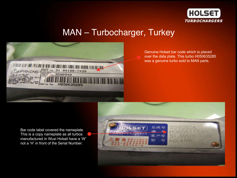

### MAN – Turbocharger, Turkey



Genuine Holset bar code which is placed over the data plate. This turbo H050635285 was a genuine turbo sold to MAN parts.

Bar code label covered the nameplate. This is a copy nameplate as all turbos manufactured in Wuxi Holset have a 'W' not a 'H' in front of the Serial Number.

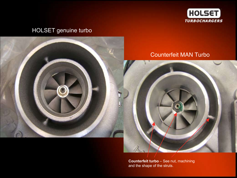

### HOLSET genuine turbo



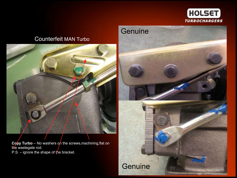

### **Genuine**

### Counterfeit MAN Turbo



Copy Turbo – No washers on the screws, machining, flat on the wastegate rod. P.S. – ignore the shape of the bracket.

**Genuine**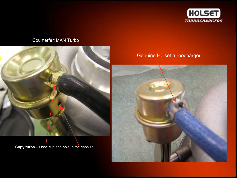

#### Counterfeit MAN Turbo



**Copy turbo** – Hose clip and hole in the capsule

#### Genuine Holset turbocharger

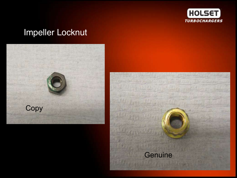

# Impeller Locknut



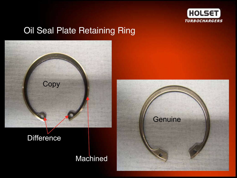

## Oil Seal Plate Retaining Ring

**Machined** 



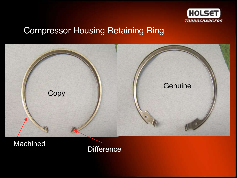

## Compressor Housing Retaining Ring



Machined

**Difference**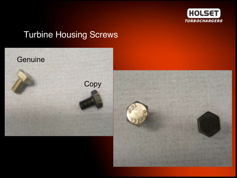

# Turbine Housing Screws